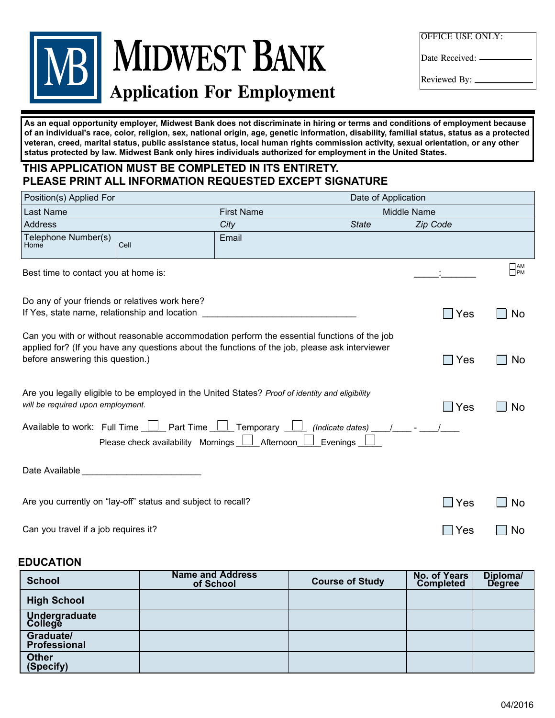## MIDWEST BANK **Application For Employment Application For Employment**

OFFICE USE ONLY:

Date Received:

Reviewed By: Reviewed By:

veteran, creed, marital status, public assistance status, local human rights commission activity, sexual orientation, or any other vecture the cap manual status, public assistance status, local manual rights commission activity, sexual orientation, or any<br>effities extended by low. Midwest Bank only bises individuals sutherized for employment in the Un **assistance status, membership or activity in a local commission, sexual orientation, and any other characteristics as status protected by law. Midwest Bank only hires individuals authorized for employment in the United States. established by law. Midwest Bank only hires individuals authorized for employment in the United States.** As an equal opportunity employer, Midwest Bank does not discriminate in hiring or terms and conditions of employment because of an individual's race, color, religion, sex, national origin, age, genetic information, disability, familial status, status as a protected

#### THIS APPLICATION MUST BE COMPLETED IN ITS ENTIRETY. PLEASE PRINT ALL INFORMATION REQUESTED EXCEPT SIGNATURE

| Position(s) Applied For                                                                                                                                                     |                                                              |                                                                                                                                                                                               | Date of Application |             |                 |  |
|-----------------------------------------------------------------------------------------------------------------------------------------------------------------------------|--------------------------------------------------------------|-----------------------------------------------------------------------------------------------------------------------------------------------------------------------------------------------|---------------------|-------------|-----------------|--|
| Last Name                                                                                                                                                                   |                                                              | <b>First Name</b>                                                                                                                                                                             |                     | Middle Name |                 |  |
| <b>Address</b>                                                                                                                                                              |                                                              | City                                                                                                                                                                                          | <b>State</b>        | Zip Code    |                 |  |
| Telephone Number(s)<br>Home                                                                                                                                                 | Cell                                                         | Email                                                                                                                                                                                         |                     |             |                 |  |
| Best time to contact you at home is:                                                                                                                                        |                                                              |                                                                                                                                                                                               |                     |             | $\Box$ AM<br>PM |  |
| Do any of your friends or relatives work here?<br>If Yes, state name, relationship and location                                                                             |                                                              |                                                                                                                                                                                               |                     | $\Box$ Yes  | No              |  |
| before answering this question.)                                                                                                                                            |                                                              | Can you with or without reasonable accommodation perform the essential functions of the job<br>applied for? (If you have any questions about the functions of the job, please ask interviewer |                     | $\Box$ Yes  | <b>No</b>       |  |
| will be required upon employment.                                                                                                                                           |                                                              | Are you legally eligible to be employed in the United States? Proof of identity and eligibility                                                                                               |                     | $\Box$ Yes  | No              |  |
| Available to work: Full Time $\Box$ Part Time $\Box$ Temporary $\Box$ (Indicate dates) $\Box$<br>Please check availability Mornings $\Box$ Afternoon $\Box$ Evenings $\Box$ |                                                              |                                                                                                                                                                                               |                     |             |                 |  |
| Date Available                                                                                                                                                              |                                                              |                                                                                                                                                                                               |                     |             |                 |  |
|                                                                                                                                                                             | Are you currently on "lay-off" status and subject to recall? |                                                                                                                                                                                               |                     | Yes<br>n l  | No              |  |
| Can you travel if a job requires it?                                                                                                                                        |                                                              |                                                                                                                                                                                               |                     | $\Box$ Yes  | <b>No</b>       |  |

#### **EDUCATION**

| <b>EDUCATION</b>          |                                      |                        |                                         |                           |
|---------------------------|--------------------------------------|------------------------|-----------------------------------------|---------------------------|
| <b>School</b>             | <b>Name and Address</b><br>of School | <b>Course of Study</b> | <b>No. of Years</b><br><b>Completed</b> | Diploma/<br><b>Degree</b> |
| <b>High School</b>        |                                      |                        |                                         |                           |
| Undergraduate<br>College  |                                      |                        |                                         |                           |
| Graduate/<br>Professional |                                      |                        |                                         |                           |
| <b>Other</b><br>(Specify) |                                      |                        |                                         |                           |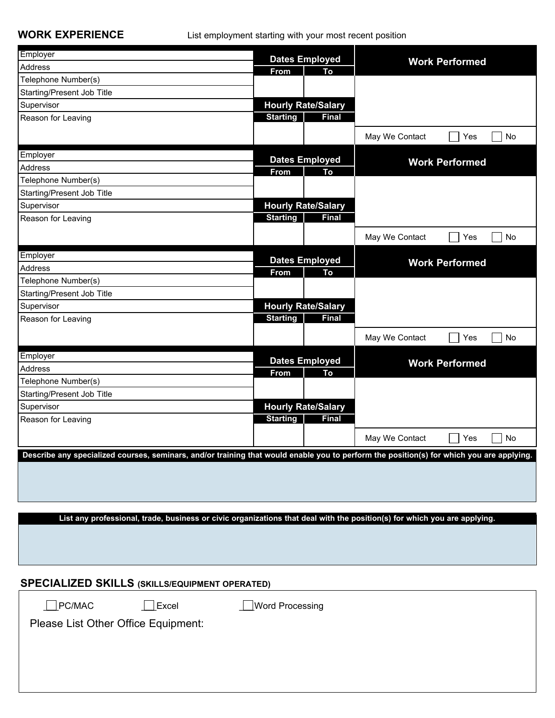**WORK EXPERIENCE** List employment starting with your most recent position

| Employer                                                                                                                                 |                                     |                             |                       |                       |
|------------------------------------------------------------------------------------------------------------------------------------------|-------------------------------------|-----------------------------|-----------------------|-----------------------|
| Address                                                                                                                                  | <b>Dates Employed</b><br>From<br>To |                             | <b>Work Performed</b> |                       |
| Telephone Number(s)                                                                                                                      |                                     |                             |                       |                       |
| Starting/Present Job Title                                                                                                               |                                     |                             |                       |                       |
| Supervisor                                                                                                                               |                                     | <b>Hourly Rate/Salary</b>   |                       |                       |
| Reason for Leaving                                                                                                                       | <b>Starting</b>                     | <b>Final</b>                |                       |                       |
|                                                                                                                                          |                                     |                             | May We Contact        | No<br>Yes             |
|                                                                                                                                          |                                     |                             |                       |                       |
| Employer                                                                                                                                 |                                     | <b>Dates Employed</b>       |                       | <b>Work Performed</b> |
| Address                                                                                                                                  | From                                | To                          |                       |                       |
| Telephone Number(s)                                                                                                                      |                                     |                             |                       |                       |
| Starting/Present Job Title                                                                                                               |                                     |                             |                       |                       |
| Supervisor                                                                                                                               |                                     | <b>Hourly Rate/Salary</b>   |                       |                       |
| Reason for Leaving                                                                                                                       | <b>Starting</b>                     | <b>Final</b>                |                       |                       |
|                                                                                                                                          |                                     |                             | May We Contact        | Yes<br>No             |
| Employer                                                                                                                                 |                                     |                             |                       |                       |
| Address                                                                                                                                  | From                                | <b>Dates Employed</b><br>To |                       | <b>Work Performed</b> |
| Telephone Number(s)                                                                                                                      |                                     |                             |                       |                       |
| Starting/Present Job Title                                                                                                               |                                     |                             |                       |                       |
| Supervisor                                                                                                                               |                                     | <b>Hourly Rate/Salary</b>   |                       |                       |
| Reason for Leaving                                                                                                                       | <b>Starting</b>                     | <b>Final</b>                |                       |                       |
|                                                                                                                                          |                                     |                             |                       | Yes<br>No             |
|                                                                                                                                          |                                     |                             | May We Contact        |                       |
| Employer                                                                                                                                 |                                     | <b>Dates Employed</b>       |                       | <b>Work Performed</b> |
| Address                                                                                                                                  | From                                | To                          |                       |                       |
| Telephone Number(s)                                                                                                                      |                                     |                             |                       |                       |
| Starting/Present Job Title                                                                                                               |                                     |                             |                       |                       |
| Supervisor                                                                                                                               |                                     | <b>Hourly Rate/Salary</b>   |                       |                       |
| Reason for Leaving                                                                                                                       | <b>Starting</b>                     | <b>Final</b>                |                       |                       |
|                                                                                                                                          |                                     |                             | May We Contact        | Yes<br><b>No</b>      |
| Describe any specialized courses, seminars, and/or training that would enable you to perform the position(s) for which you are applying. |                                     |                             |                       |                       |
|                                                                                                                                          |                                     |                             |                       |                       |
|                                                                                                                                          |                                     |                             |                       |                       |
|                                                                                                                                          |                                     |                             |                       |                       |
|                                                                                                                                          |                                     |                             |                       |                       |
| List any professional, trade, business or civic organizations that deal with the position(s) for which you are applying.                 |                                     |                             |                       |                       |
|                                                                                                                                          |                                     |                             |                       |                       |
|                                                                                                                                          |                                     |                             |                       |                       |
|                                                                                                                                          |                                     |                             |                       |                       |
|                                                                                                                                          |                                     |                             |                       |                       |
| <b>SPECIALIZED SKILLS (SKILLS/EQUIPMENT OPERATED)</b>                                                                                    |                                     |                             |                       |                       |

| I EVINEED VINEEV (VINEEV/EQUI MENT OF ERATED) |              |                 |  |  |
|-----------------------------------------------|--------------|-----------------|--|--|
| $\Box$ PC/MAC                                 | $\Box$ Excel | Word Processing |  |  |
| Please List Other Office Equipment:           |              |                 |  |  |
|                                               |              |                 |  |  |
|                                               |              |                 |  |  |
|                                               |              |                 |  |  |
|                                               |              |                 |  |  |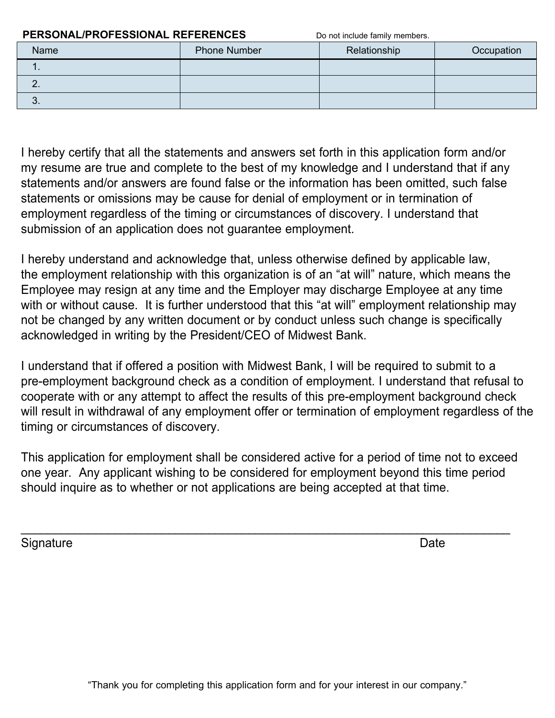| <b>PERSONAL/PROFESSIONAL REFERENCES</b> |                     | Do not include family members. |            |
|-----------------------------------------|---------------------|--------------------------------|------------|
| <b>Name</b>                             | <b>Phone Number</b> | Relationship                   | Occupation |
| . .                                     |                     |                                |            |
| <b>C.</b>                               |                     |                                |            |
| J.                                      |                     |                                |            |

I hereby certify that all the statements and answers set forth in this application form and/or my resume are true and complete to the best of my knowledge and I understand that if any statements and/or answers are found false or the information has been omitted, such false statements or omissions may be cause for denial of employment or in termination of employment regardless of the timing or circumstances of discovery. I understand that submission of an application does not guarantee employment.

I hereby understand and acknowledge that, unless otherwise defined by applicable law, the employment relationship with this organization is of an "at will" nature, which means the Employee may resign at any time and the Employer may discharge Employee at any time with or without cause. It is further understood that this "at will" employment relationship may not be changed by any written document or by conduct unless such change is specifically acknowledged in writing by the President/CEO of Midwest Bank.

I understand that if offered a position with Midwest Bank, I will be required to submit to a pre-employment background check as a condition of employment. I understand that refusal to cooperate with or any attempt to affect the results of this pre-employment background check will result in withdrawal of any employment offer or termination of employment regardless of the timing or circumstances of discovery.

This application for employment shall be considered active for a period of time not to exceed one year. Any applicant wishing to be considered for employment beyond this time period should inquire as to whether or not applications are being accepted at that time.

\_\_\_\_\_\_\_\_\_\_\_\_\_\_\_\_\_\_\_\_\_\_\_\_\_\_\_\_\_\_\_\_\_\_\_\_\_\_\_\_\_\_\_\_\_\_\_\_\_\_\_\_\_\_\_\_\_\_\_\_\_\_\_\_\_\_\_\_\_\_\_\_\_

Signature Date **Date**